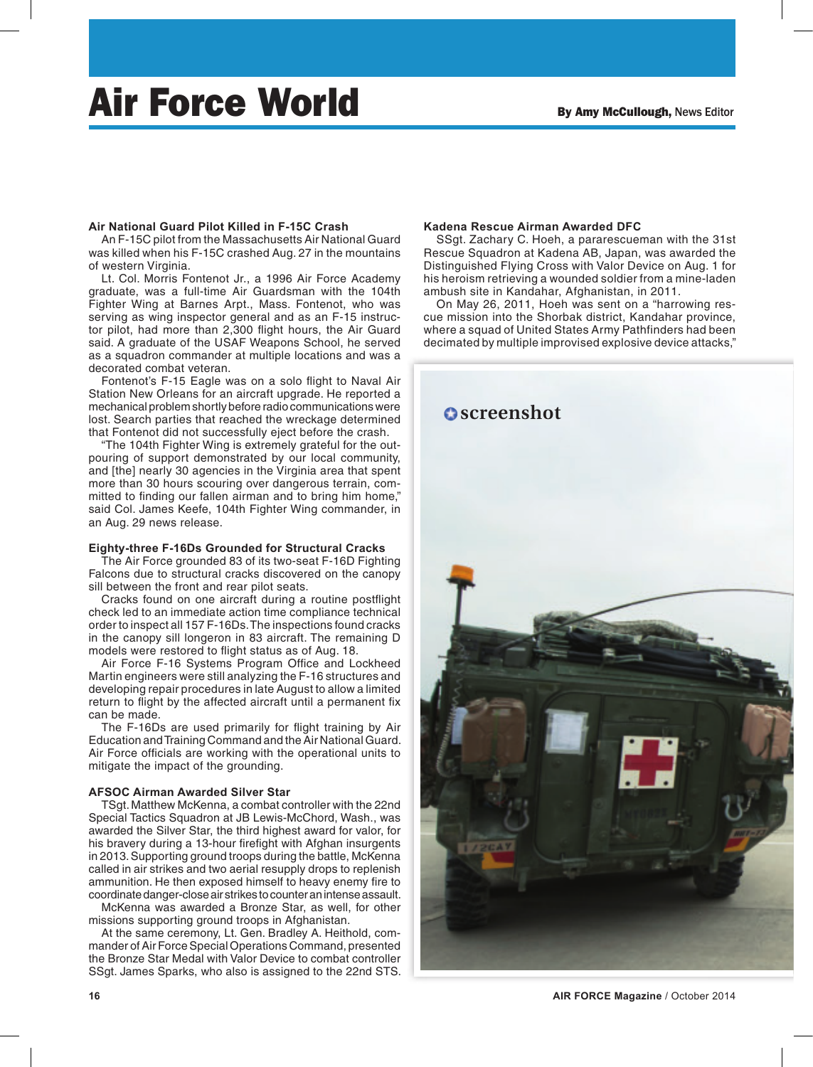# Air Force World By Amy McCullough, News Editor

### **Air National Guard Pilot Killed in F-15C Crash**

An F-15C pilot from the Massachusetts Air National Guard was killed when his F-15C crashed Aug. 27 in the mountains of western Virginia.

Lt. Col. Morris Fontenot Jr., a 1996 Air Force Academy graduate, was a full-time Air Guardsman with the 104th Fighter Wing at Barnes Arpt., Mass. Fontenot, who was serving as wing inspector general and as an F-15 instructor pilot, had more than 2,300 flight hours, the Air Guard said. A graduate of the USAF Weapons School, he served as a squadron commander at multiple locations and was a decorated combat veteran.

Fontenot's F-15 Eagle was on a solo flight to Naval Air Station New Orleans for an aircraft upgrade. He reported a mechanical problem shortly before radio communications were lost. Search parties that reached the wreckage determined that Fontenot did not successfully eject before the crash.

"The 104th Fighter Wing is extremely grateful for the outpouring of support demonstrated by our local community, and [the] nearly 30 agencies in the Virginia area that spent more than 30 hours scouring over dangerous terrain, committed to finding our fallen airman and to bring him home," said Col. James Keefe, 104th Fighter Wing commander, in an Aug. 29 news release.

### **Eighty-three F-16Ds Grounded for Structural Cracks**

The Air Force grounded 83 of its two-seat F-16D Fighting Falcons due to structural cracks discovered on the canopy sill between the front and rear pilot seats.

Cracks found on one aircraft during a routine postflight check led to an immediate action time compliance technical order to inspect all 157 F-16Ds. The inspections found cracks in the canopy sill longeron in 83 aircraft. The remaining D models were restored to flight status as of Aug. 18.

Air Force F-16 Systems Program Office and Lockheed Martin engineers were still analyzing the F-16 structures and developing repair procedures in late August to allow a limited return to flight by the affected aircraft until a permanent fix can be made.

The F-16Ds are used primarily for flight training by Air Education and Training Command and the Air National Guard. Air Force officials are working with the operational units to mitigate the impact of the grounding.

### **AFSOC Airman Awarded Silver Star**

TSgt. Matthew McKenna, a combat controller with the 22nd Special Tactics Squadron at JB Lewis-McChord, Wash., was awarded the Silver Star, the third highest award for valor, for his bravery during a 13-hour firefight with Afghan insurgents in 2013. Supporting ground troops during the battle, McKenna called in air strikes and two aerial resupply drops to replenish ammunition. He then exposed himself to heavy enemy fire to coordinate danger-close air strikes to counter an intense assault.

McKenna was awarded a Bronze Star, as well, for other missions supporting ground troops in Afghanistan.

At the same ceremony, Lt. Gen. Bradley A. Heithold, commander of Air Force Special Operations Command, presented the Bronze Star Medal with Valor Device to combat controller SSgt. James Sparks, who also is assigned to the 22nd STS.

### **Kadena Rescue Airman Awarded DFC**

SSgt. Zachary C. Hoeh, a pararescueman with the 31st Rescue Squadron at Kadena AB, Japan, was awarded the Distinguished Flying Cross with Valor Device on Aug. 1 for his heroism retrieving a wounded soldier from a mine-laden ambush site in Kandahar, Afghanistan, in 2011.

On May 26, 2011, Hoeh was sent on a "harrowing rescue mission into the Shorbak district, Kandahar province, where a squad of United States Army Pathfinders had been decimated by multiple improvised explosive device attacks,"

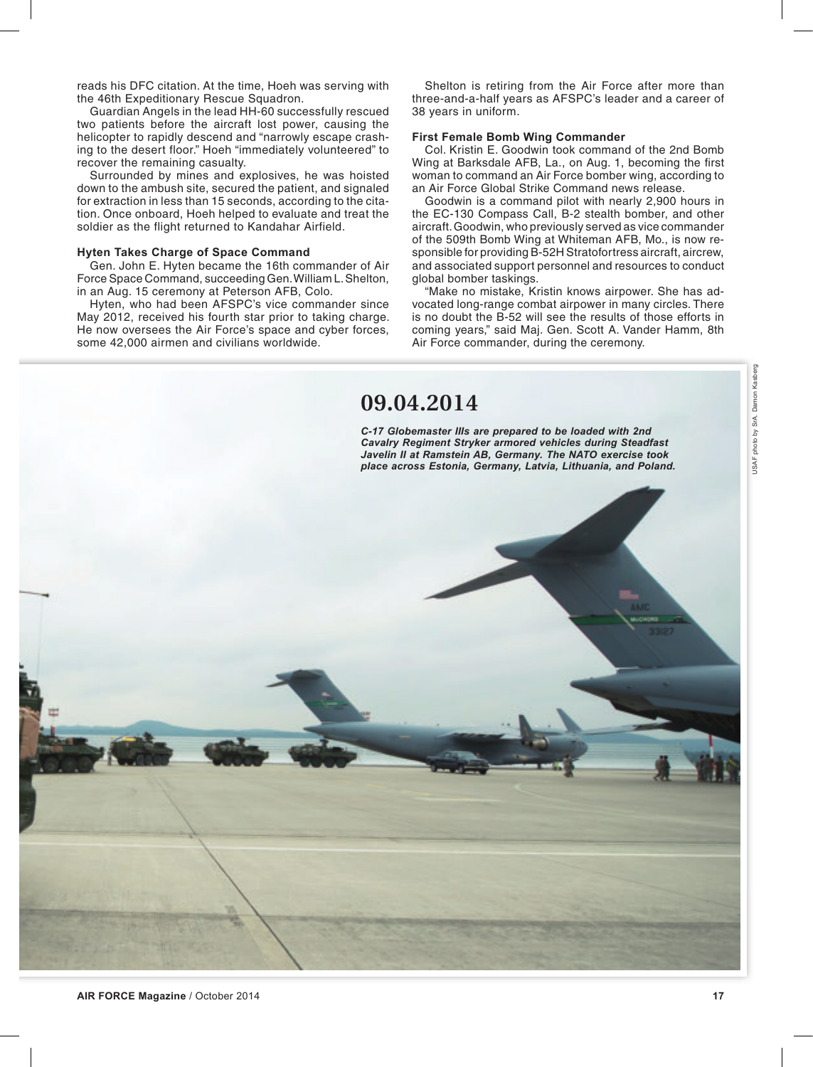reads his DFC citation. At the time, Hoeh was serving with the 46th Expeditionary Rescue Squadron.

Guardian Angels in the lead HH-60 successfully rescued two patients before the aircraft lost power, causing the helicopter to rapidly descend and "narrowly escape crashing to the desert floor." Hoeh "immediately volunteered" to recover the remaining casualty.

Surrounded by mines and explosives, he was hoisted down to the ambush site, secured the patient, and signaled for extraction in less than 15 seconds, according to the citation. Once onboard, Hoeh helped to evaluate and treat the soldier as the flight returned to Kandahar Airfield.

#### **Hyten Takes Charge of Space Command**

Gen. John E. Hyten became the 16th commander of Air Force Space Command, succeeding Gen. William L. Shelton, in an Aug. 15 ceremony at Peterson AFB, Colo.

Hyten, who had been AFSPC's vice commander since May 2012, received his fourth star prior to taking charge. He now oversees the Air Force's space and cyber forces, some 42,000 airmen and civilians worldwide.

Shelton is retiring from the Air Force after more than three-and-a-half years as AFSPC's leader and a career of 38 years in uniform.

### **First Female Bomb Wing Commander**

Col. Kristin E. Goodwin took command of the 2nd Bomb Wing at Barksdale AFB, La., on Aug. 1, becoming the first woman to command an Air Force bomber wing, according to an Air Force Global Strike Command news release.

Goodwin is a command pilot with nearly 2,900 hours in the EC-130 Compass Call, B-2 stealth bomber, and other aircraft. Goodwin, who previously served as vice commander of the 509th Bomb Wing at Whiteman AFB, Mo., is now responsible for providing B-52H Stratofortress aircraft, aircrew, and associated support personnel and resources to conduct global bomber taskings.

"Make no mistake, Kristin knows airpower. She has advocated long-range combat airpower in many circles. There is no doubt the B-52 will see the results of those efforts in coming years," said Maj. Gen. Scott A. Vander Hamm, 8th Air Force commander, during the ceremony.

### **09.04.2014**

*C-17 Globemaster IIIs are prepared to be loaded with 2nd Cavalry Regiment Stryker armored vehicles during Steadfast Javelin II at Ramstein AB, Germany. The NATO exercise took place across Estonia, Germany, Latvia, Lithuania, and Poland.*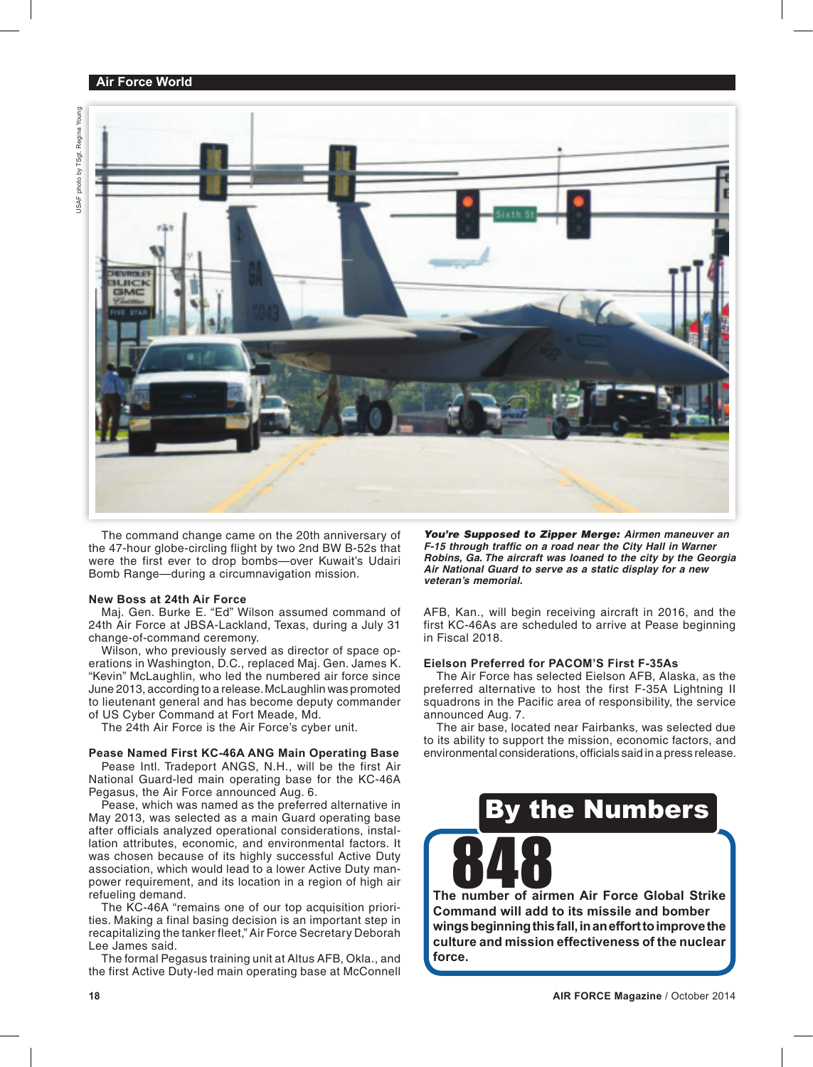### **Air Force World**



The command change came on the 20th anniversary of the 47-hour globe-circling flight by two 2nd BW B-52s that were the first ever to drop bombs—over Kuwait's Udairi Bomb Range—during a circumnavigation mission.

### **New Boss at 24th Air Force**

Maj. Gen. Burke E. "Ed" Wilson assumed command of 24th Air Force at JBSA-Lackland, Texas, during a July 31 change-of-command ceremony.

Wilson, who previously served as director of space operations in Washington, D.C., replaced Maj. Gen. James K. "Kevin" McLaughlin, who led the numbered air force since June 2013, according to a release. McLaughlin was promoted to lieutenant general and has become deputy commander of US Cyber Command at Fort Meade, Md.

The 24th Air Force is the Air Force's cyber unit.

### **Pease Named First KC-46A ANG Main Operating Base**

Pease Intl. Tradeport ANGS, N.H., will be the first Air National Guard-led main operating base for the KC-46A Pegasus, the Air Force announced Aug. 6.

Pease, which was named as the preferred alternative in May 2013, was selected as a main Guard operating base after officials analyzed operational considerations, installation attributes, economic, and environmental factors. It was chosen because of its highly successful Active Duty association, which would lead to a lower Active Duty manpower requirement, and its location in a region of high air refueling demand.

The KC-46A "remains one of our top acquisition priorities. Making a final basing decision is an important step in recapitalizing the tanker fleet," Air Force Secretary Deborah Lee James said.

The formal Pegasus training unit at Altus AFB, Okla., and the first Active Duty-led main operating base at McConnell

*You're Supposed to Zipper Merge: Airmen maneuver an*  **F-15 through traffic on a road near the City Hall in Warner** *Robins, Ga. The aircraft was loaned to the city by the Georgia Air National Guard to serve as a static display for a new veteran's memorial.*

AFB, Kan., will begin receiving aircraft in 2016, and the first KC-46As are scheduled to arrive at Pease beginning in Fiscal 2018.

### **Eielson Preferred for PACOM'S First F-35As**

The Air Force has selected Eielson AFB, Alaska, as the preferred alternative to host the first F-35A Lightning II squadrons in the Pacific area of responsibility, the service announced Aug. 7.

The air base, located near Fairbanks, was selected due to its ability to support the mission, economic factors, and environmental considerations, officials said in a press release.

## the Numbers

The number of airmen Air Force Global Strike **Command will add to its missile and bomber wings beginning this fall, in an effort to improve the culture and mission effectiveness of the nuclear force.**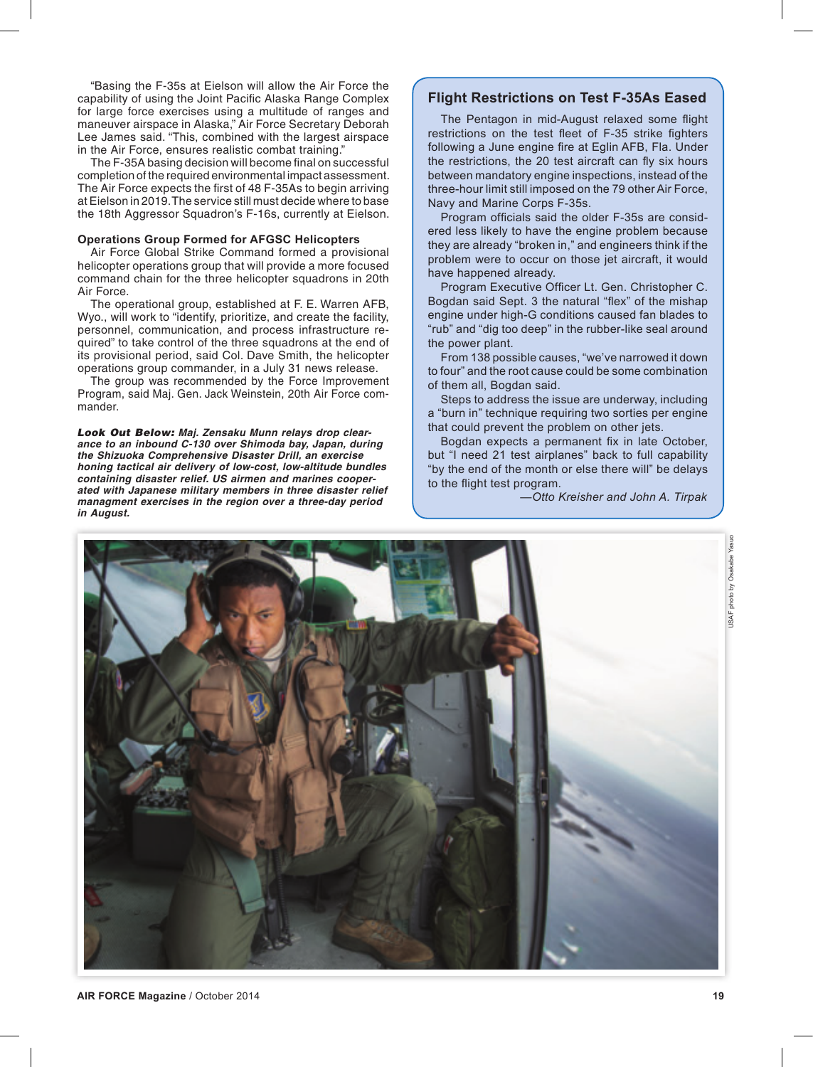"Basing the F-35s at Eielson will allow the Air Force the capability of using the Joint Pacific Alaska Range Complex for large force exercises using a multitude of ranges and maneuver airspace in Alaska," Air Force Secretary Deborah Lee James said. "This, combined with the largest airspace in the Air Force, ensures realistic combat training."

The F-35A basing decision will become final on successful completion of the required environmental impact assessment. The Air Force expects the first of 48 F-35As to begin arriving at Eielson in 2019. The service still must decide where to base the 18th Aggressor Squadron's F-16s, currently at Eielson.

### **Operations Group Formed for AFGSC Helicopters**

Air Force Global Strike Command formed a provisional helicopter operations group that will provide a more focused command chain for the three helicopter squadrons in 20th Air Force.

The operational group, established at F. E. Warren AFB, Wyo., will work to "identify, prioritize, and create the facility, personnel, communication, and process infrastructure required" to take control of the three squadrons at the end of its provisional period, said Col. Dave Smith, the helicopter operations group commander, in a July 31 news release.

The group was recommended by the Force Improvement Program, said Maj. Gen. Jack Weinstein, 20th Air Force commander.

*Look Out Below: Maj. Zensaku Munn relays drop clearance to an inbound C-130 over Shimoda bay, Japan, during the Shizuoka Comprehensive Disaster Drill, an exercise honing tactical air delivery of low-cost, low-altitude bundles containing disaster relief. US airmen and marines cooperated with Japanese military members in three disaster relief managment exercises in the region over a three-day period in August.*

### **Flight Restrictions on Test F-35As Eased**

The Pentagon in mid-August relaxed some flight restrictions on the test fleet of F-35 strike fighters following a June engine fire at Eglin AFB, Fla. Under the restrictions, the 20 test aircraft can fly six hours between mandatory engine inspections, instead of the three-hour limit still imposed on the 79 other Air Force, Navy and Marine Corps F-35s.

Program officials said the older F-35s are considered less likely to have the engine problem because they are already "broken in," and engineers think if the problem were to occur on those jet aircraft, it would have happened already.

Program Executive Officer Lt. Gen. Christopher C. Bogdan said Sept. 3 the natural "flex" of the mishap engine under high-G conditions caused fan blades to "rub" and "dig too deep" in the rubber-like seal around the power plant.

From 138 possible causes, "we've narrowed it down to four" and the root cause could be some combination of them all, Bogdan said.

Steps to address the issue are underway, including a "burn in" technique requiring two sorties per engine that could prevent the problem on other jets.

Bogdan expects a permanent fix in late October, but "I need 21 test airplanes" back to full capability "by the end of the month or else there will" be delays to the flight test program.

*—Otto Kreisher and John A. Tirpak*



USAF photo by Osakabe Yasuo

JSAF photo by Osakabe

Yasuo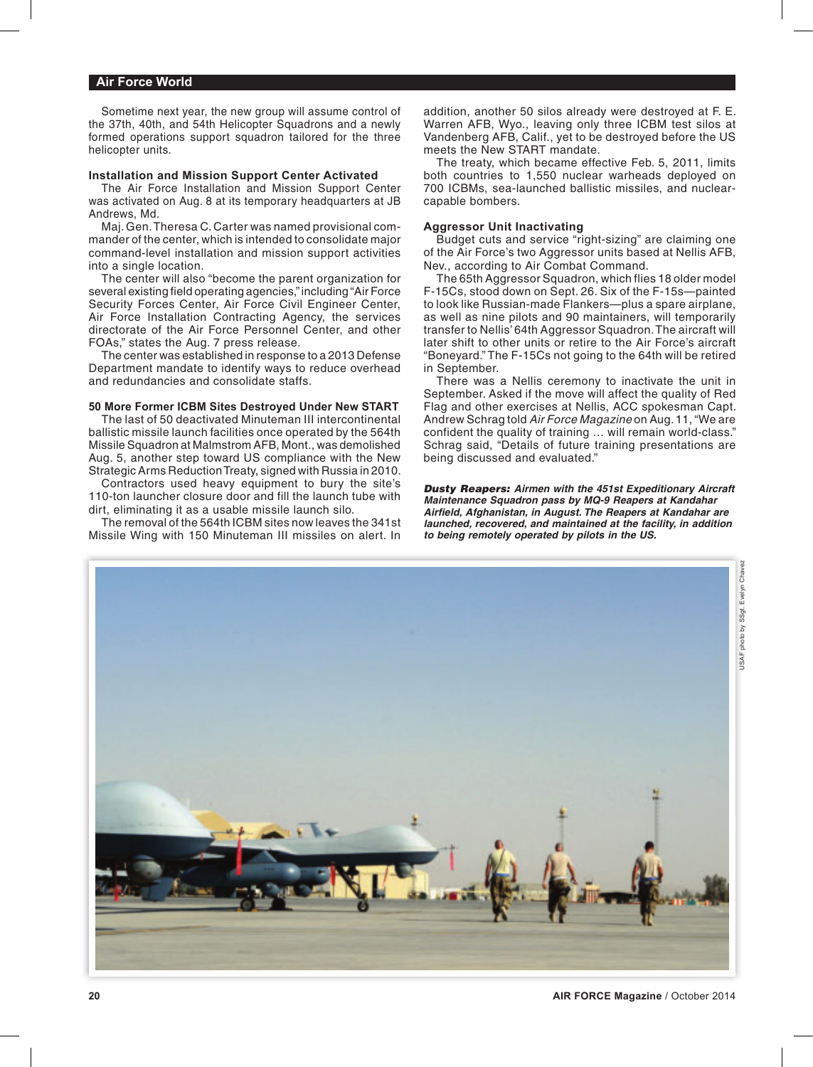### **Air Force World**

Sometime next year, the new group will assume control of the 37th, 40th, and 54th Helicopter Squadrons and a newly formed operations support squadron tailored for the three helicopter units.

### **Installation and Mission Support Center Activated**

The Air Force Installation and Mission Support Center was activated on Aug. 8 at its temporary headquarters at JB Andrews, Md.

Maj. Gen. Theresa C. Carter was named provisional commander of the center, which is intended to consolidate major command-level installation and mission support activities into a single location.

The center will also "become the parent organization for several existing field operating agencies," including "Air Force Security Forces Center, Air Force Civil Engineer Center, Air Force Installation Contracting Agency, the services directorate of the Air Force Personnel Center, and other FOAs," states the Aug. 7 press release.

The center was established in response to a 2013 Defense Department mandate to identify ways to reduce overhead and redundancies and consolidate staffs.

### **50 More Former ICBM Sites Destroyed Under New START**

The last of 50 deactivated Minuteman III intercontinental ballistic missile launch facilities once operated by the 564th Missile Squadron at Malmstrom AFB, Mont., was demolished Aug. 5, another step toward US compliance with the New Strategic Arms Reduction Treaty, signed with Russia in 2010.

Contractors used heavy equipment to bury the site's 110-ton launcher closure door and fill the launch tube with dirt, eliminating it as a usable missile launch silo.

The removal of the 564th ICBM sites now leaves the 341st Missile Wing with 150 Minuteman III missiles on alert. In addition, another 50 silos already were destroyed at F. E. Warren AFB, Wyo., leaving only three ICBM test silos at Vandenberg AFB, Calif., yet to be destroyed before the US meets the New START mandate.

The treaty, which became effective Feb. 5, 2011, limits both countries to 1,550 nuclear warheads deployed on 700 ICBMs, sea-launched ballistic missiles, and nuclearcapable bombers.

### **Aggressor Unit Inactivating**

Budget cuts and service "right-sizing" are claiming one of the Air Force's two Aggressor units based at Nellis AFB, Nev., according to Air Combat Command.

The 65th Aggressor Squadron, which flies 18 older model F-15Cs, stood down on Sept. 26. Six of the F-15s—painted to look like Russian-made Flankers—plus a spare airplane, as well as nine pilots and 90 maintainers, will temporarily transfer to Nellis' 64th Aggressor Squadron. The aircraft will later shift to other units or retire to the Air Force's aircraft "Boneyard." The F-15Cs not going to the 64th will be retired in September.

There was a Nellis ceremony to inactivate the unit in September. Asked if the move will affect the quality of Red Flag and other exercises at Nellis, ACC spokesman Capt. Andrew Schrag told *Air Force Magazine* on Aug. 11, "We are confident the quality of training … will remain world-class." Schrag said, "Details of future training presentations are being discussed and evaluated."

*Dusty Reapers: Airmen with the 451st Expeditionary Aircraft Maintenance Squadron pass by MQ-9 Reapers at Kandahar Airfi eld, Afghanistan, in August. The Reapers at Kandahar are launched, recovered, and maintained at the facility, in addition to being remotely operated by pilots in the US.*

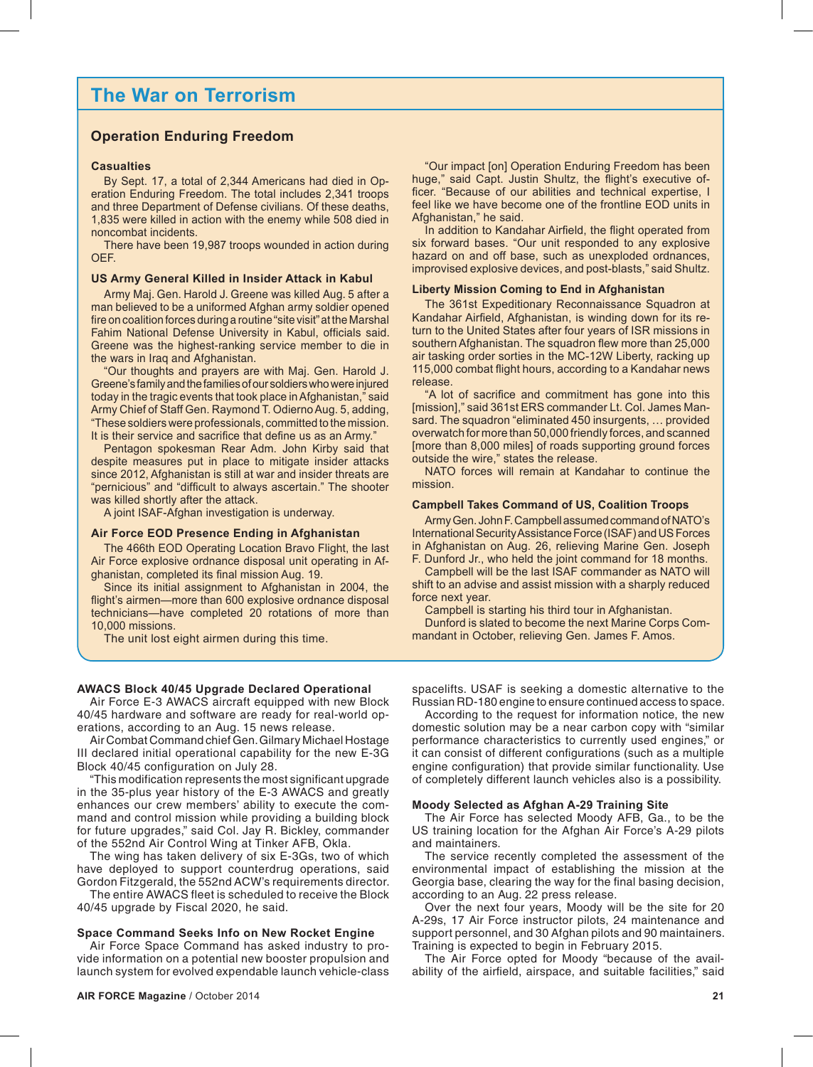### **The War on Terrorism**

### **Operation Enduring Freedom**

### **Casualties**

By Sept. 17, a total of 2,344 Americans had died in Operation Enduring Freedom. The total includes 2,341 troops and three Department of Defense civilians. Of these deaths, 1,835 were killed in action with the enemy while 508 died in noncombat incidents.

There have been 19,987 troops wounded in action during OEF.

### **US Army General Killed in Insider Attack in Kabul**

Army Maj. Gen. Harold J. Greene was killed Aug. 5 after a man believed to be a uniformed Afghan army soldier opened fire on coalition forces during a routine "site visit" at the Marshal Fahim National Defense University in Kabul, officials said. Greene was the highest-ranking service member to die in the wars in Iraq and Afghanistan.

"Our thoughts and prayers are with Maj. Gen. Harold J. Greene's family and the families of our soldiers who were injured today in the tragic events that took place in Afghanistan," said Army Chief of Staff Gen. Raymond T. Odierno Aug. 5, adding, "These soldiers were professionals, committed to the mission. It is their service and sacrifice that define us as an Army."

Pentagon spokesman Rear Adm. John Kirby said that despite measures put in place to mitigate insider attacks since 2012, Afghanistan is still at war and insider threats are "pernicious" and "difficult to always ascertain." The shooter was killed shortly after the attack.

A joint ISAF-Afghan investigation is underway.

### **Air Force EOD Presence Ending in Afghanistan**

The 466th EOD Operating Location Bravo Flight, the last Air Force explosive ordnance disposal unit operating in Afghanistan, completed its final mission Aug. 19.

Since its initial assignment to Afghanistan in 2004, the flight's airmen—more than 600 explosive ordnance disposal technicians—have completed 20 rotations of more than 10,000 missions.

The unit lost eight airmen during this time.

"Our impact [on] Operation Enduring Freedom has been huge," said Capt. Justin Shultz, the flight's executive officer. "Because of our abilities and technical expertise, I feel like we have become one of the frontline EOD units in Afghanistan," he said.

In addition to Kandahar Airfield, the flight operated from six forward bases. "Our unit responded to any explosive hazard on and off base, such as unexploded ordnances, improvised explosive devices, and post-blasts," said Shultz.

#### **Liberty Mission Coming to End in Afghanistan**

The 361st Expeditionary Reconnaissance Squadron at Kandahar Airfield, Afghanistan, is winding down for its return to the United States after four years of ISR missions in southern Afghanistan. The squadron flew more than 25,000 air tasking order sorties in the MC-12W Liberty, racking up 115,000 combat flight hours, according to a Kandahar news release.

"A lot of sacrifice and commitment has gone into this [mission]," said 361st ERS commander Lt. Col. James Mansard. The squadron "eliminated 450 insurgents, … provided overwatch for more than 50,000 friendly forces, and scanned [more than 8,000 miles] of roads supporting ground forces outside the wire," states the release.

NATO forces will remain at Kandahar to continue the mission.

#### **Campbell Takes Command of US, Coalition Troops**

Army Gen. John F. Campbell assumed command of NATO's International Security Assistance Force (ISAF) and US Forces in Afghanistan on Aug. 26, relieving Marine Gen. Joseph F. Dunford Jr., who held the joint command for 18 months.

Campbell will be the last ISAF commander as NATO will shift to an advise and assist mission with a sharply reduced force next year.

Campbell is starting his third tour in Afghanistan.

Dunford is slated to become the next Marine Corps Commandant in October, relieving Gen. James F. Amos.

### **AWACS Block 40/45 Upgrade Declared Operational**

Air Force E-3 AWACS aircraft equipped with new Block 40/45 hardware and software are ready for real-world operations, according to an Aug. 15 news release.

Air Combat Command chief Gen. Gilmary Michael Hostage III declared initial operational capability for the new E-3G Block 40/45 configuration on July 28.

"This modification represents the most significant upgrade in the 35-plus year history of the E-3 AWACS and greatly enhances our crew members' ability to execute the command and control mission while providing a building block for future upgrades," said Col. Jay R. Bickley, commander of the 552nd Air Control Wing at Tinker AFB, Okla.

The wing has taken delivery of six E-3Gs, two of which have deployed to support counterdrug operations, said Gordon Fitzgerald, the 552nd ACW's requirements director.

The entire AWACS fleet is scheduled to receive the Block 40/45 upgrade by Fiscal 2020, he said.

### **Space Command Seeks Info on New Rocket Engine**

Air Force Space Command has asked industry to provide information on a potential new booster propulsion and launch system for evolved expendable launch vehicle-class

spacelifts. USAF is seeking a domestic alternative to the Russian RD-180 engine to ensure continued access to space.

According to the request for information notice, the new domestic solution may be a near carbon copy with "similar performance characteristics to currently used engines," or it can consist of different configurations (such as a multiple engine configuration) that provide similar functionality. Use of completely different launch vehicles also is a possibility.

### **Moody Selected as Afghan A-29 Training Site**

The Air Force has selected Moody AFB, Ga., to be the US training location for the Afghan Air Force's A-29 pilots and maintainers.

The service recently completed the assessment of the environmental impact of establishing the mission at the Georgia base, clearing the way for the final basing decision, according to an Aug. 22 press release.

Over the next four years, Moody will be the site for 20 A-29s, 17 Air Force instructor pilots, 24 maintenance and support personnel, and 30 Afghan pilots and 90 maintainers. Training is expected to begin in February 2015.

The Air Force opted for Moody "because of the availability of the airfield, airspace, and suitable facilities," said